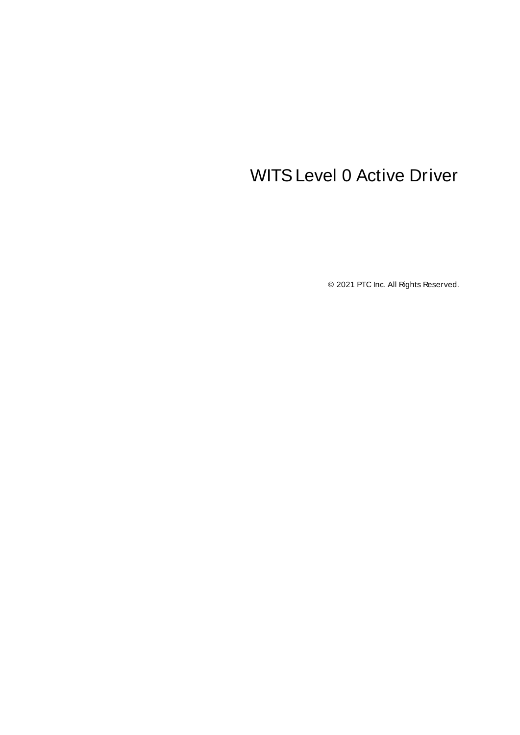# <span id="page-0-0"></span>WITSLevel 0 Active Driver

© 2021 PTC Inc. All Rights Reserved.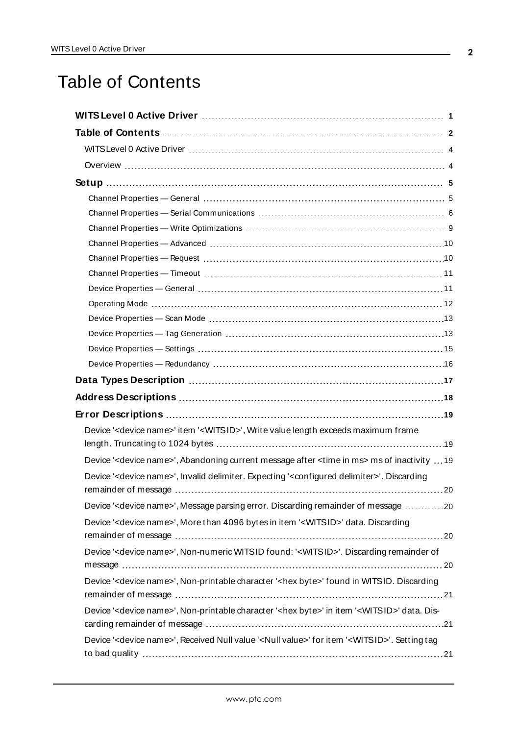# <span id="page-1-0"></span>Table of Contents

| Device ' <device name="">' item '<witsid>', Write value length exceeds maximum frame</witsid></device>                      |
|-----------------------------------------------------------------------------------------------------------------------------|
| Device ' <device name="">', Abandoning current message after <time in="" ms=""> ms of inactivity  19</time></device>        |
| Device ' <device name="">', Invalid delimiter. Expecting '<configured delimiter="">'. Discarding</configured></device>      |
|                                                                                                                             |
| Device ' <device name="">', Message parsing error. Discarding remainder of message 20</device>                              |
| Device ' <device name="">', More than 4096 bytes in item '<witsid>' data. Discarding</witsid></device>                      |
|                                                                                                                             |
| Device ' <device name="">', Non-numeric WITSID found: '<witsid>'. Discarding remainder of</witsid></device>                 |
| Device ' <device name="">', Non-printable character '<hex byte="">' found in WITSID. Discarding</hex></device>              |
| Device ' <device name="">', Non-printable character '<hex byte="">' in item '<witsid>' data. Dis-</witsid></hex></device>   |
| Device ' <device name="">', Received Null value '<null value="">' for item '<witsid>'. Setting tag</witsid></null></device> |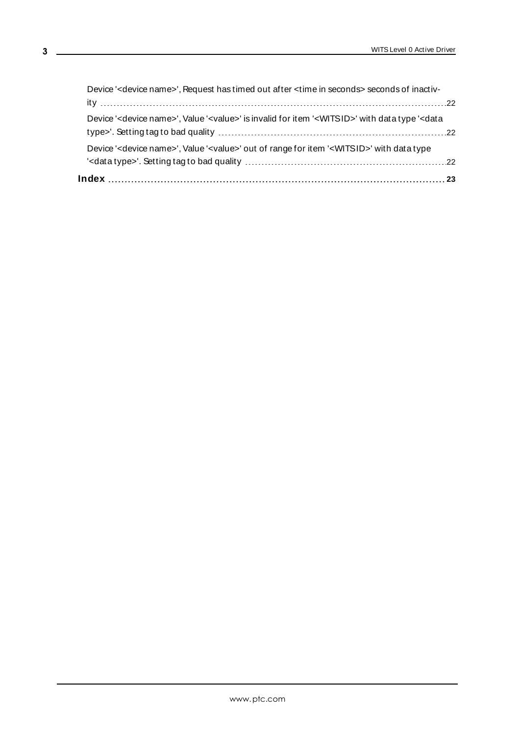| Device ' <device name="">', Request has timed out after <time in="" seconds=""> seconds of inactiv-</time></device>                                 |  |
|-----------------------------------------------------------------------------------------------------------------------------------------------------|--|
|                                                                                                                                                     |  |
| Device ' <device name="">', Value '<value>' is invalid for item '<witsid>' with data type '<data< td=""><td></td></data<></witsid></value></device> |  |
| Device ' <device name="">', Value '<value>' out of range for item '<witsid>' with data type</witsid></value></device>                               |  |
|                                                                                                                                                     |  |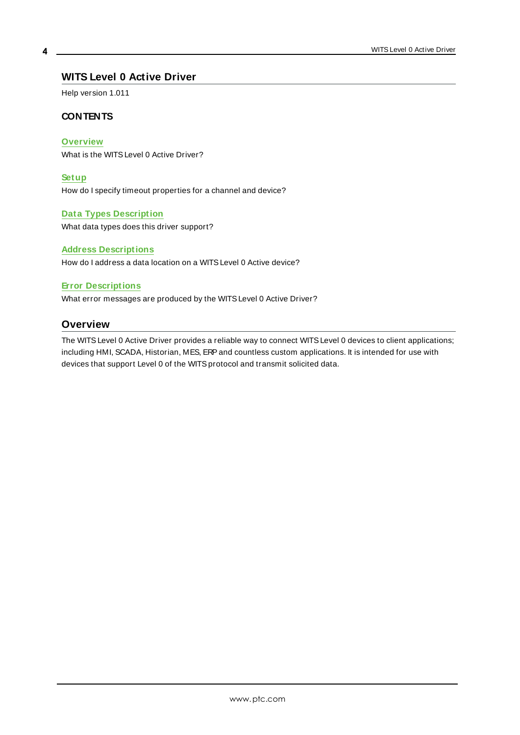### <span id="page-3-0"></span>**WITS Level 0 Active Driver**

Help version 1.011

### **CONTENTS**

#### **[Overview](#page-3-1)**

What is the WITSLevel 0 Active Driver?

#### **[Setup](#page-4-0)**

How do I specify timeout properties for a channel and device?

#### **Data Types [Description](#page-16-0)**

What data types does this driver support?

#### **Address [Descriptions](#page-17-0)**

How do I address a data location on a WITSLevel 0 Active device?

#### **Error [Descriptions](#page-18-0)**

<span id="page-3-1"></span>What error messages are produced by the WITSLevel 0 Active Driver?

### **Overview**

The WITSLevel 0 Active Driver provides a reliable way to connect WITSLevel 0 devices to client applications; including HMI, SCADA, Historian, MES, ERP and countless custom applications. It is intended for use with devices that support Level 0 of the WITS protocol and transmit solicited data.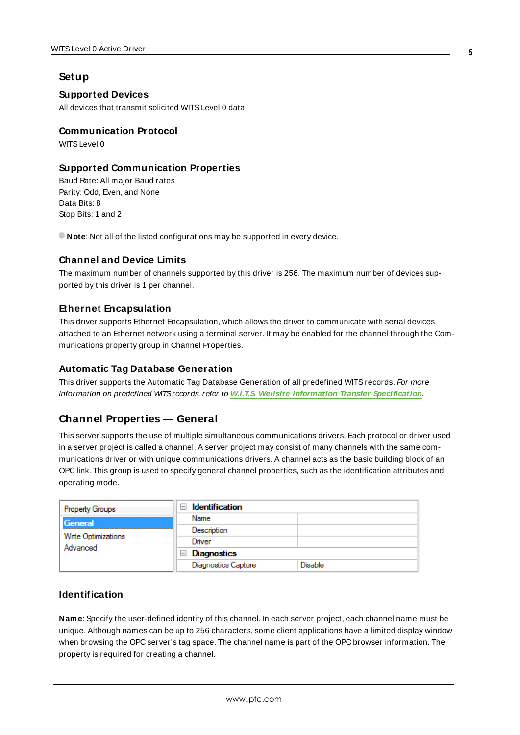### <span id="page-4-0"></span>**Setup**

### **Supported Devices**

All devices that transmit solicited WITSLevel 0 data

#### **Communication Protocol**

WITS Level 0

### **Supported Communication Properties**

Baud Rate: All major Baud rates Parity: Odd, Even, and None Data Bits: 8 Stop Bits: 1 and 2

**Note**: Not all of the listed configurations may be supported in every device.

#### **Channel and Device Limits**

The maximum number of channels supported by this driver is 256. The maximum number of devices supported by this driver is 1 per channel.

#### **Ethernet Encapsulation**

This driver supports Ethernet Encapsulation, which allows the driver to communicate with serial devices attached to an Ethernet network using a terminal server. It may be enabled for the channel through the Communications property group in Channel Properties.

#### **Automatic Tag Database Generation**

This driver supports the Automatic Tag Database Generation of all predefined WITS records. For more information on predefined WITSrecords, refer to **W.I.T.S. Wellsite Information Transfer [Specification](http://home.sprynet.com/~carob/)**.

### <span id="page-4-1"></span>**Channel Properties — General**

This server supports the use of multiple simultaneous communications drivers. Each protocol or driver used in a server project is called a channel. A server project may consist of many channels with the same communications driver or with unique communications drivers. A channel acts as the basic building block of an OPC link. This group is used to specify general channel properties, such as the identification attributes and operating mode.

| <b>Property Groups</b>          | <b>Identification</b><br>$\blacksquare$ |         |
|---------------------------------|-----------------------------------------|---------|
| General                         | Name                                    |         |
|                                 | Description                             |         |
| Write Optimizations<br>Advanced | Driver                                  |         |
|                                 | Diagnostics<br>$\blacksquare$           |         |
|                                 | <b>Diagnostics Capture</b>              | Disable |

### **Identification**

**Name**: Specify the user-defined identity of this channel. In each server project, each channel name must be unique. Although names can be up to 256 characters, some client applications have a limited display window when browsing the OPC server's tag space. The channel name is part of the OPC browser information. The property is required for creating a channel.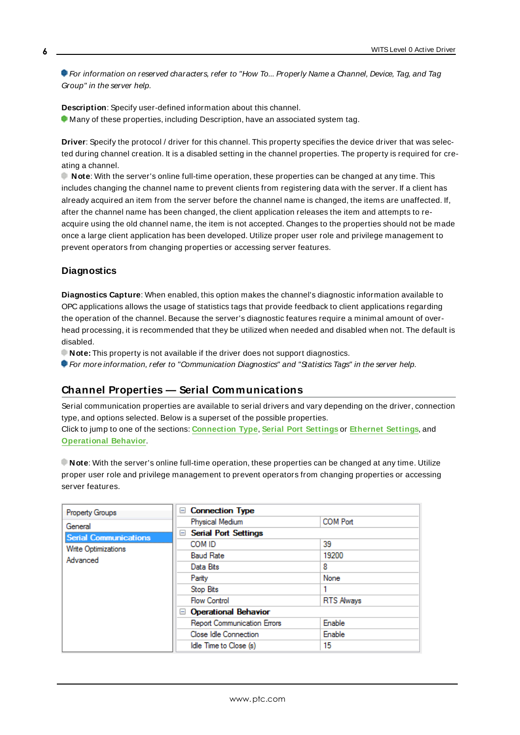For information on reserved characters, refer to "How To... Properly Name a Channel, Device, Tag, and Tag Group" in the server help.

**Description**: Specify user-defined information about this channel. **Many of these properties, including Description, have an associated system tag.** 

**Driver**: Specify the protocol / driver for this channel. This property specifies the device driver that was selected during channel creation. It is a disabled setting in the channel properties. The property is required for creating a channel.

**Note**: With the server's online full-time operation, these properties can be changed at any time. This includes changing the channel name to prevent clients from registering data with the server. If a client has already acquired an item from the server before the channel name is changed, the items are unaffected. If, after the channel name has been changed, the client application releases the item and attempts to reacquire using the old channel name, the item is not accepted. Changes to the properties should not be made once a large client application has been developed. Utilize proper user role and privilege management to prevent operators from changing properties or accessing server features.

### **Diagnostics**

**Diagnostics Capture**: When enabled, this option makes the channel's diagnostic information available to OPC applications allows the usage of statistics tags that provide feedback to client applications regarding the operation of the channel. Because the server's diagnostic features require a minimal amount of overhead processing, it is recommended that they be utilized when needed and disabled when not. The default is disabled.

**Note:** This property is not available if the driver does not support diagnostics.

<span id="page-5-0"></span>**For more information, refer to "Communication Diagnostics" and "Statistics Tags" in the server help.** 

### **Channel Properties — Serial Communications**

Serial communication properties are available to serial drivers and vary depending on the driver, connection type, and options selected. Below is a superset of the possible properties. Click to jump to one of the sections: **[Connection](#page-6-0) Type**, **Serial Port [Settings](#page-6-1)** or **[Ethernet](#page-7-0) Settings**, and **[Operational](#page-7-1) Behavior**.

**Note**: With the server's online full-time operation, these properties can be changed at any time. Utilize proper user role and privilege management to prevent operators from changing properties or accessing server features.

| Property Groups              | □ Connection Type                  |                   |
|------------------------------|------------------------------------|-------------------|
| General                      | Physical Medium                    | <b>COM Port</b>   |
| <b>Serial Communications</b> | <b>□ Serial Port Settings</b>      |                   |
| Write Optimizations          | COM ID                             | 39                |
| Advanced                     | <b>Baud Rate</b>                   | 19200             |
|                              | Data Bits                          | 8                 |
|                              | Parity                             | None              |
|                              | <b>Stop Bits</b>                   |                   |
|                              | <b>Flow Control</b>                | <b>RTS Always</b> |
|                              | □ Operational Behavior             |                   |
|                              | <b>Report Communication Errors</b> | Enable            |
|                              | Close Idle Connection              | Enable            |
|                              | Idle Time to Close (s)             | 15                |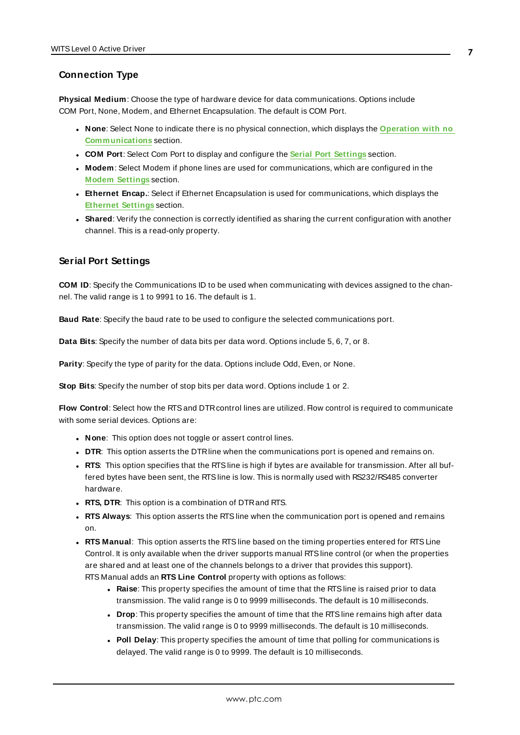### <span id="page-6-0"></span>**Connection Type**

**Physical Medium**: Choose the type of hardware device for data communications. Options include COM Port, None, Modem, and Ethernet Encapsulation. The default is COM Port.

- <sup>l</sup> **None**: Select None to indicate there is no physical connection, which displays the **[Operation](#page-7-2) with no [Communications](#page-7-2)** section.
- <sup>l</sup> **COM Port**: Select Com Port to display and configure the **Serial Port [Settings](#page-6-1)** section.
- **Modem**: Select Modem if phone lines are used for communications, which are configured in the **Modem [Settings](#page-7-3)** section.
- **Ethernet Encap.**: Select if Ethernet Encapsulation is used for communications, which displays the **[Ethernet](#page-7-0) Settings** section.
- **Shared**: Verify the connection is correctly identified as sharing the current configuration with another channel. This is a read-only property.

### <span id="page-6-1"></span>**Serial Port Settings**

**COM ID**: Specify the Communications ID to be used when communicating with devices assigned to the channel. The valid range is 1 to 9991 to 16. The default is 1.

**Baud Rate**: Specify the baud rate to be used to configure the selected communications port.

**Data Bits**: Specify the number of data bits per data word. Options include 5, 6, 7, or 8.

**Parity**: Specify the type of parity for the data. Options include Odd, Even, or None.

**Stop Bits**: Specify the number of stop bits per data word. Options include 1 or 2.

**Flow Control**: Select how the RTSand DTRcontrol lines are utilized. Flow control is required to communicate with some serial devices. Options are:

- **None:** This option does not toggle or assert control lines.
- **DTR:** This option asserts the DTR line when the communications port is opened and remains on.
- RTS: This option specifies that the RTS line is high if bytes are available for transmission. After all buffered bytes have been sent, the RTSline is low. This is normally used with RS232/RS485 converter hardware.
- **RTS, DTR:** This option is a combination of DTR and RTS.
- <sup>l</sup> **RTS Always**: This option asserts the RTSline when the communication port is opened and remains on.
- <sup>l</sup> **RTS Manual**: This option asserts the RTSline based on the timing properties entered for RTSLine Control. It is only available when the driver supports manual RTSline control (or when the properties are shared and at least one of the channels belongs to a driver that provides this support). RTS Manual adds an **RTS Line Control** property with options as follows:
	- **Raise**: This property specifies the amount of time that the RTS line is raised prior to data transmission. The valid range is 0 to 9999 milliseconds. The default is 10 milliseconds.
	- **Drop**: This property specifies the amount of time that the RTS line remains high after data transmission. The valid range is 0 to 9999 milliseconds. The default is 10 milliseconds.
	- Poll Delay: This property specifies the amount of time that polling for communications is delayed. The valid range is 0 to 9999. The default is 10 milliseconds.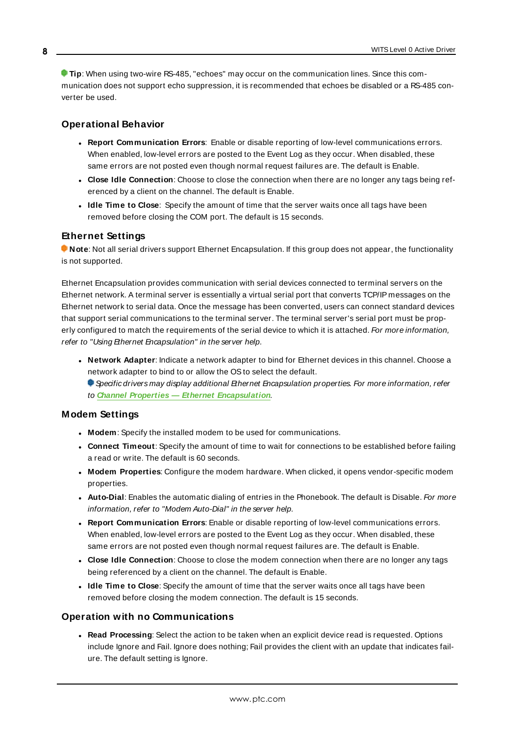**Tip**: When using two-wire RS-485, "echoes" may occur on the communication lines. Since this communication does not support echo suppression, it is recommended that echoes be disabled or a RS-485 converter be used.

### <span id="page-7-1"></span>**Operational Behavior**

- <sup>l</sup> **Report Communication Errors**: Enable or disable reporting of low-level communications errors. When enabled, low-level errors are posted to the Event Log as they occur. When disabled, these same errors are not posted even though normal request failures are. The default is Enable.
- <sup>l</sup> **Close Idle Connection**: Choose to close the connection when there are no longer any tags being referenced by a client on the channel. The default is Enable.
- <sup>l</sup> **Idle Time to Close**: Specify the amount of time that the server waits once all tags have been removed before closing the COM port. The default is 15 seconds.

### <span id="page-7-0"></span>**Ethernet Settings**

**Note**: Not all serial drivers support Ethernet Encapsulation. If this group does not appear, the functionality is not supported.

Ethernet Encapsulation provides communication with serial devices connected to terminal servers on the Ethernet network. A terminal server is essentially a virtual serial port that converts TCP/IP messages on the Ethernet network to serial data. Once the message has been converted, users can connect standard devices that support serial communications to the terminal server. The terminal server's serial port must be properly configured to match the requirements of the serial device to which it is attached. For more information, refer to "Using Ethernet Encapsulation" in the server help.

- **· Network Adapter**: Indicate a network adapter to bind for Ethernet devices in this channel. Choose a network adapter to bind to or allow the OSto select the default.
	- Specific drivers may display additional Ethernet Encapsulation properties. For more information, refer to **Channel Properties — Ethernet Encapsulation**.

### <span id="page-7-3"></span>**Modem Settings**

- **Modem**: Specify the installed modem to be used for communications.
- **Connect Timeout**: Specify the amount of time to wait for connections to be established before failing a read or write. The default is 60 seconds.
- <sup>l</sup> **Modem Properties**: Configure the modem hardware. When clicked, it opens vendor-specific modem properties.
- **.** Auto-Dial: Enables the automatic dialing of entries in the Phonebook. The default is Disable. For more information, refer to "Modem Auto-Dial" in the server help.
- <sup>l</sup> **Report Communication Errors**: Enable or disable reporting of low-level communications errors. When enabled, low-level errors are posted to the Event Log as they occur. When disabled, these same errors are not posted even though normal request failures are. The default is Enable.
- **Close Idle Connection**: Choose to close the modem connection when there are no longer any tags being referenced by a client on the channel. The default is Enable.
- <sup>l</sup> **Idle Time to Close**: Specify the amount of time that the server waits once all tags have been removed before closing the modem connection. The default is 15 seconds.

### <span id="page-7-2"></span>**Operation with no Communications**

**Read Processing**: Select the action to be taken when an explicit device read is requested. Options include Ignore and Fail. Ignore does nothing; Fail provides the client with an update that indicates failure. The default setting is Ignore.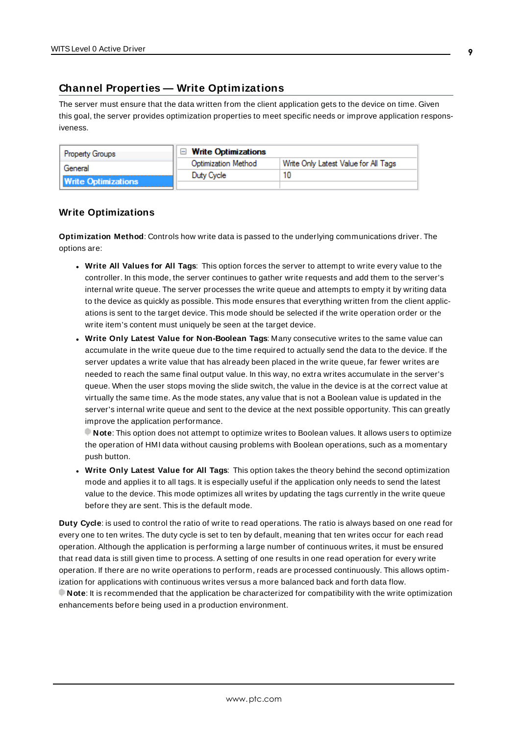## <span id="page-8-0"></span>**Channel Properties — Write Optimizations**

The server must ensure that the data written from the client application gets to the device on time. Given this goal, the server provides optimization properties to meet specific needs or improve application responsiveness.

| <b>Property Groups</b>     | $\Box$ Write Optimizations |                                      |
|----------------------------|----------------------------|--------------------------------------|
| General                    | <b>Optimization Method</b> | Write Only Latest Value for All Tags |
|                            | Duty Cycle                 |                                      |
| <b>Write Optimizations</b> |                            |                                      |

#### **Write Optimizations**

**Optimization Method**: Controls how write data is passed to the underlying communications driver. The options are:

- <sup>l</sup> **Write All Values for All Tags**: This option forces the server to attempt to write every value to the controller. In this mode, the server continues to gather write requests and add them to the server's internal write queue. The server processes the write queue and attempts to empty it by writing data to the device as quickly as possible. This mode ensures that everything written from the client applications is sent to the target device. This mode should be selected if the write operation order or the write item's content must uniquely be seen at the target device.
- **.** Write Only Latest Value for Non-Boolean Tags: Many consecutive writes to the same value can accumulate in the write queue due to the time required to actually send the data to the device. If the server updates a write value that has already been placed in the write queue, far fewer writes are needed to reach the same final output value. In this way, no extra writes accumulate in the server's queue. When the user stops moving the slide switch, the value in the device is at the correct value at virtually the same time. As the mode states, any value that is not a Boolean value is updated in the server's internal write queue and sent to the device at the next possible opportunity. This can greatly improve the application performance.

**Note**: This option does not attempt to optimize writes to Boolean values. It allows users to optimize the operation of HMI data without causing problems with Boolean operations, such as a momentary push button.

**• Write Only Latest Value for All Tags**: This option takes the theory behind the second optimization mode and applies it to all tags. It is especially useful if the application only needs to send the latest value to the device. This mode optimizes all writes by updating the tags currently in the write queue before they are sent. This is the default mode.

**Duty Cycle**: is used to control the ratio of write to read operations. The ratio is always based on one read for every one to ten writes. The duty cycle is set to ten by default, meaning that ten writes occur for each read operation. Although the application is performing a large number of continuous writes, it must be ensured that read data is still given time to process. A setting of one results in one read operation for every write operation. If there are no write operations to perform, reads are processed continuously. This allows optimization for applications with continuous writes versus a more balanced back and forth data flow. **Note**: It is recommended that the application be characterized for compatibility with the write optimization enhancements before being used in a production environment.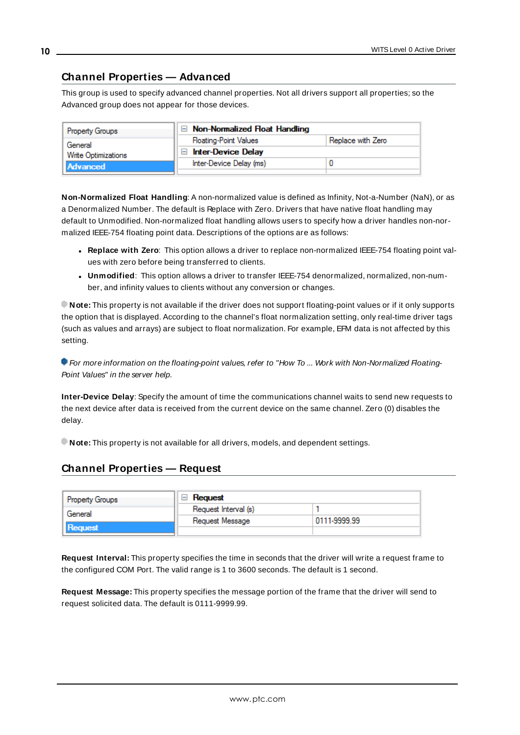### <span id="page-9-0"></span>**Channel Properties — Advanced**

This group is used to specify advanced channel properties. Not all drivers support all properties; so the Advanced group does not appear for those devices.

| <b>Property Groups</b>     | $\Box$ Non-Normalized Float Handling |                   |  |
|----------------------------|--------------------------------------|-------------------|--|
| General                    | <b>Floating-Point Values</b>         | Replace with Zero |  |
| <b>Write Optimizations</b> | Inter-Device Delay<br>$\overline{ }$ |                   |  |
| Advanced                   | Inter-Device Delay (ms)              |                   |  |
|                            |                                      |                   |  |

**Non-Normalized Float Handling**: A non-normalized value is defined as Infinity, Not-a-Number (NaN), or as a Denormalized Number. The default is Replace with Zero. Drivers that have native float handling may default to Unmodified. Non-normalized float handling allows users to specify how a driver handles non-normalized IEEE-754 floating point data. Descriptions of the options are as follows:

- <sup>l</sup> **Replace with Zero**: This option allows a driver to replace non-normalized IEEE-754 floating point values with zero before being transferred to clients.
- <sup>l</sup> **Unmodified**: This option allows a driver to transfer IEEE-754 denormalized, normalized, non-number, and infinity values to clients without any conversion or changes.

**Note:** This property is not available if the driver does not support floating-point values or if it only supports the option that is displayed. According to the channel's float normalization setting, only real-time driver tags (such as values and arrays) are subject to float normalization. For example, EFM data is not affected by this setting.

For more information on the floating-point values, refer to "How To ... Work with Non-Normalized Floating-Point Values" in the server help.

**Inter-Device Delay**: Specify the amount of time the communications channel waits to send new requests to the next device after data is received from the current device on the same channel. Zero (0) disables the delay.

<span id="page-9-1"></span>**Note:** This property is not available for all drivers, models, and dependent settings.

### **Channel Properties — Request**

| <b>Property Groups</b> | Reguest              |              |
|------------------------|----------------------|--------------|
| General                | Request Interval (s) |              |
|                        | Request Message      | 0111-9999.99 |
| <b>Request</b>         |                      |              |

**Request Interval:** This property specifies the time in seconds that the driver will write a request frame to the configured COM Port. The valid range is 1 to 3600 seconds. The default is 1 second.

**Request Message:** This property specifies the message portion of the frame that the driver will send to request solicited data. The default is 0111-9999.99.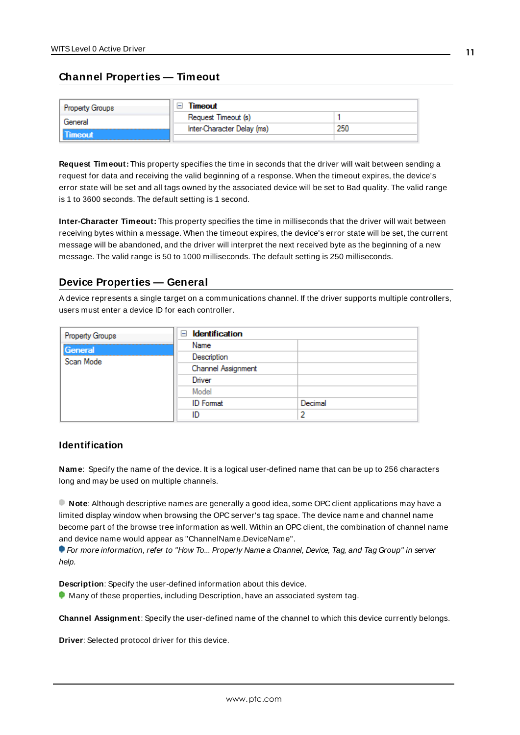### <span id="page-10-0"></span>**Channel Properties — Timeout**

| <b>Property Groups</b> | Timeout                    |     |
|------------------------|----------------------------|-----|
| General                | Request Timeout (s)        |     |
|                        | Inter-Character Delay (ms) | 250 |
| limeout                |                            |     |

**Request Timeout:** This property specifies the time in seconds that the driver will wait between sending a request for data and receiving the valid beginning of a response. When the timeout expires, the device's error state will be set and all tags owned by the associated device will be set to Bad quality. The valid range is 1 to 3600 seconds. The default setting is 1 second.

**Inter-Character Timeout:** This property specifies the time in milliseconds that the driver will wait between receiving bytes within a message. When the timeout expires, the device's error state will be set, the current message will be abandoned, and the driver will interpret the next received byte as the beginning of a new message. The valid range is 50 to 1000 milliseconds. The default setting is 250 milliseconds.

### <span id="page-10-1"></span>**Device Properties — General**

A device represents a single target on a communications channel. If the driver supports multiple controllers, users must enter a device ID for each controller.

| <b>Property Groups</b> | $\Box$ Identification |         |
|------------------------|-----------------------|---------|
| General                | Name                  |         |
| Scan Mode              | Description           |         |
|                        | Channel Assignment    |         |
|                        | Driver                |         |
|                        | Model                 |         |
|                        | <b>ID</b> Format      | Decimal |
|                        | ID                    |         |

### **Identification**

<span id="page-10-4"></span>**Name**: Specify the name of the device. It is a logical user-defined name that can be up to 256 characters long and may be used on multiple channels.

**Note**: Although descriptive names are generally a good idea, some OPC client applications may have a limited display window when browsing the OPC server's tag space. The device name and channel name become part of the browse tree information as well. Within an OPC client, the combination of channel name and device name would appear as "ChannelName.DeviceName".

For more information, refer to "How To... Properly Name a Channel, Device, Tag, and Tag Group" in server help.

**Description**: Specify the user-defined information about this device.

<span id="page-10-2"></span>**Many of these properties, including Description, have an associated system tag.** 

<span id="page-10-3"></span>**Channel Assignment**: Specify the user-defined name of the channel to which this device currently belongs.

**Driver**: Selected protocol driver for this device.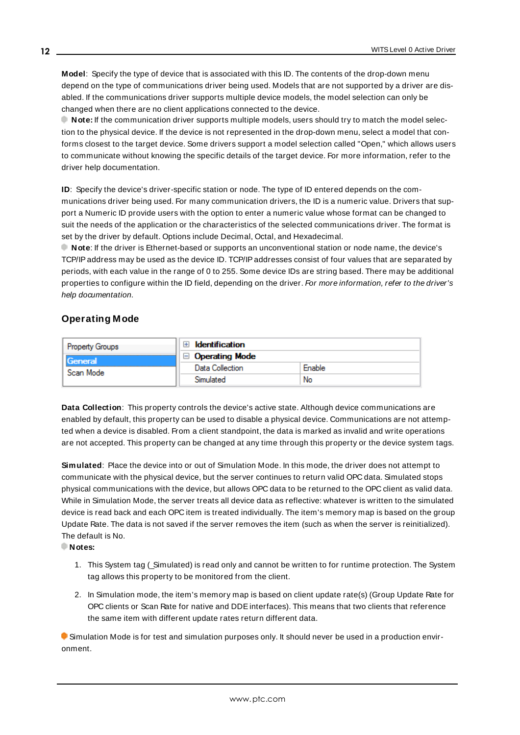<span id="page-11-3"></span>**Model**: Specify the type of device that is associated with this ID. The contents of the drop-down menu depend on the type of communications driver being used. Models that are not supported by a driver are disabled. If the communications driver supports multiple device models, the model selection can only be changed when there are no client applications connected to the device.

**Note:** If the communication driver supports multiple models, users should try to match the model selection to the physical device. If the device is not represented in the drop-down menu, select a model that conforms closest to the target device. Some drivers support a model selection called "Open," which allows users to communicate without knowing the specific details of the target device. For more information, refer to the driver help documentation.

<span id="page-11-2"></span>**ID**: Specify the device's driver-specific station or node. The type of ID entered depends on the communications driver being used. For many communication drivers, the ID is a numeric value. Drivers that support a Numeric ID provide users with the option to enter a numeric value whose format can be changed to suit the needs of the application or the characteristics of the selected communications driver. The format is set by the driver by default. Options include Decimal, Octal, and Hexadecimal.

**Note**: If the driver is Ethernet-based or supports an unconventional station or node name, the device's TCP/IPaddress may be used as the device ID. TCP/IPaddresses consist of four values that are separated by periods, with each value in the range of 0 to 255. Some device IDs are string based. There may be additional properties to configure within the ID field, depending on the driver. For more information, refer to the driver's help documentation.

### <span id="page-11-0"></span>**Operating Mode**

| <b>Property Groups</b> | <b>Identification</b> |        |
|------------------------|-----------------------|--------|
| General<br>Scan Mode   | $\Box$ Operating Mode |        |
|                        | Data Collection       | Enable |
|                        | Simulated             | No     |

<span id="page-11-1"></span>**Data Collection**: This property controls the device's active state. Although device communications are enabled by default, this property can be used to disable a physical device. Communications are not attempted when a device is disabled. From a client standpoint, the data is marked as invalid and write operations are not accepted. This property can be changed at any time through this property or the device system tags.

<span id="page-11-4"></span>**Simulated**: Place the device into or out of Simulation Mode. In this mode, the driver does not attempt to communicate with the physical device, but the server continues to return valid OPC data. Simulated stops physical communications with the device, but allows OPC data to be returned to the OPC client as valid data. While in Simulation Mode, the server treats all device data as reflective: whatever is written to the simulated device is read back and each OPC item is treated individually. The item's memory map is based on the group Update Rate. The data is not saved if the server removes the item (such as when the server is reinitialized). The default is No.

**Notes:**

- 1. This System tag (\_Simulated) is read only and cannot be written to for runtime protection. The System tag allows this property to be monitored from the client.
- 2. In Simulation mode, the item's memory map is based on client update rate(s) (Group Update Rate for OPC clients or Scan Rate for native and DDEinterfaces). This means that two clients that reference the same item with different update rates return different data.

 Simulation Mode is for test and simulation purposes only. It should never be used in a production environment.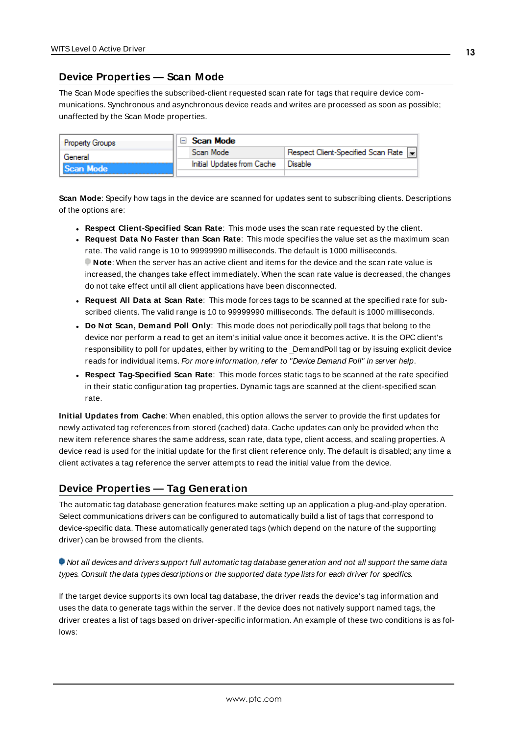### <span id="page-12-0"></span>**Device Properties — Scan Mode**

The Scan Mode specifies the subscribed-client requested scan rate for tags that require device communications. Synchronous and asynchronous device reads and writes are processed as soon as possible; unaffected by the Scan Mode properties.

| <b>Property Groups</b> | Scan Mode                  |                                    |
|------------------------|----------------------------|------------------------------------|
| General                | Scan Mode                  | Respect Client-Specified Scan Rate |
| Scan Mode              | Initial Updates from Cache | Disable                            |
|                        |                            |                                    |

<span id="page-12-5"></span>**Scan Mode**: Specify how tags in the device are scanned for updates sent to subscribing clients. Descriptions of the options are:

- <sup>l</sup> **Respect Client-Specified Scan Rate**: This mode uses the scan rate requested by the client.
- <sup>l</sup> **Request Data No Faster than Scan Rate**: This mode specifies the value set as the maximum scan rate. The valid range is 10 to 99999990 milliseconds. The default is 1000 milliseconds. **Note**: When the server has an active client and items for the device and the scan rate value is increased, the changes take effect immediately. When the scan rate value is decreased, the changes do not take effect until all client applications have been disconnected.
- <sup>l</sup> **Request All Data at Scan Rate**: This mode forces tags to be scanned at the specified rate for subscribed clients. The valid range is 10 to 99999990 milliseconds. The default is 1000 milliseconds.
- <span id="page-12-2"></span><sup>l</sup> **Do Not Scan, Demand Poll Only**: This mode does not periodically poll tags that belong to the device nor perform a read to get an item's initial value once it becomes active. It is the OPC client's responsibility to poll for updates, either by writing to the \_DemandPoll tag or by issuing explicit device reads for individual items. For more information, refer to "Device Demand Poll" in server help.
- <span id="page-12-4"></span><sup>l</sup> **Respect Tag-Specified Scan Rate**: This mode forces static tags to be scanned at the rate specified in their static configuration tag properties. Dynamic tags are scanned at the client-specified scan rate.

<span id="page-12-3"></span>**Initial Updates from Cache**: When enabled, this option allows the server to provide the first updates for newly activated tag references from stored (cached) data. Cache updates can only be provided when the new item reference shares the same address, scan rate, data type, client access, and scaling properties. A device read is used for the initial update for the first client reference only. The default is disabled; any time a client activates a tag reference the server attempts to read the initial value from the device.

### <span id="page-12-1"></span>**Device Properties — Tag Generation**

The automatic tag database generation features make setting up an application a plug-and-play operation. Select communications drivers can be configured to automatically build a list of tags that correspond to device-specific data. These automatically generated tags (which depend on the nature of the supporting driver) can be browsed from the clients.

### Not all devices and drivers support full automatic tag database generation and not all support the same data types. Consult the data types descriptions or the supported data type lists for each driver for specifics.

If the target device supports its own local tag database, the driver reads the device's tag information and uses the data to generate tags within the server. If the device does not natively support named tags, the driver creates a list of tags based on driver-specific information. An example of these two conditions is as follows: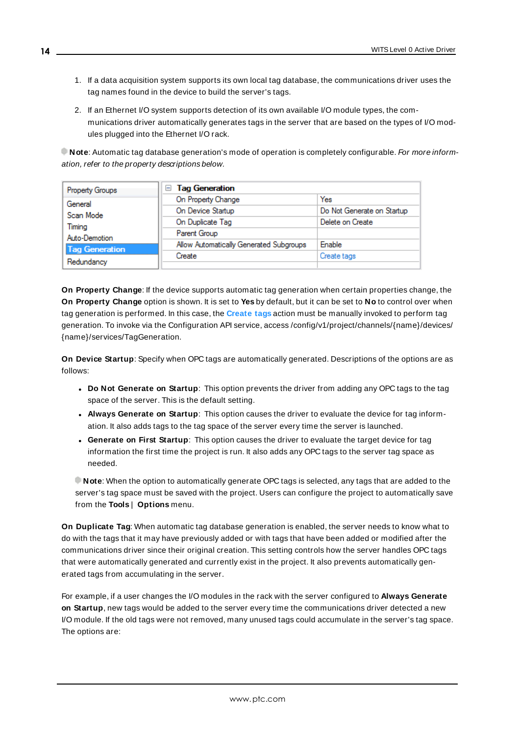- 1. If a data acquisition system supports its own local tag database, the communications driver uses the tag names found in the device to build the server's tags.
- 2. If an Ethernet I/O system supports detection of its own available I/O module types, the communications driver automatically generates tags in the server that are based on the types of I/O modules plugged into the Ethernet I/O rack.

**Note**: Automatic tag database generation's mode of operation is completely configurable. For more information, refer to the property descriptions below.

| Property Groups       | <b>Tag Generation</b><br>н              |                            |  |
|-----------------------|-----------------------------------------|----------------------------|--|
| General               | On Property Change                      | Yes                        |  |
| Scan Mode             | On Device Startup                       | Do Not Generate on Startup |  |
| Timina                | On Duplicate Tag                        | Delete on Create           |  |
| Auto-Demotion         | Parent Group                            |                            |  |
| <b>Tag Generation</b> | Allow Automatically Generated Subgroups | Enable                     |  |
|                       | Create                                  | Create tags                |  |
| Redundancy            |                                         |                            |  |

<span id="page-13-3"></span>**On Property Change**: If the device supports automatic tag generation when certain properties change, the **On Property Change** option is shown. It is set to **Yes** by default, but it can be set to **No** to control over when tag generation is performed. In this case, the **Create tags** action must be manually invoked to perform tag generation. To invoke via the Configuration API service, access /config/v1/project/channels/{name}/devices/ {name}/services/TagGeneration.

<span id="page-13-1"></span>**On Device Startup**: Specify when OPC tags are automatically generated. Descriptions of the options are as follows:

- <span id="page-13-0"></span><sup>l</sup> **Do Not Generate on Startup**: This option prevents the driver from adding any OPC tags to the tag space of the server. This is the default setting.
- <sup>l</sup> **Always Generate on Startup**: This option causes the driver to evaluate the device for tag information. It also adds tags to the tag space of the server every time the server is launched.
- <sup>l</sup> **Generate on First Startup**: This option causes the driver to evaluate the target device for tag information the first time the project is run. It also adds any OPC tags to the server tag space as needed.

**Note**: When the option to automatically generate OPC tags is selected, any tags that are added to the server's tag space must be saved with the project. Users can configure the project to automatically save from the **Tools** | **Options** menu.

<span id="page-13-2"></span>**On Duplicate Tag**: When automatic tag database generation is enabled, the server needs to know what to do with the tags that it may have previously added or with tags that have been added or modified after the communications driver since their original creation. This setting controls how the server handles OPC tags that were automatically generated and currently exist in the project. It also prevents automatically generated tags from accumulating in the server.

For example, if a user changes the I/O modules in the rack with the server configured to **Always Generate on Startup**, new tags would be added to the server every time the communications driver detected a new I/O module. If the old tags were not removed, many unused tags could accumulate in the server's tag space. The options are: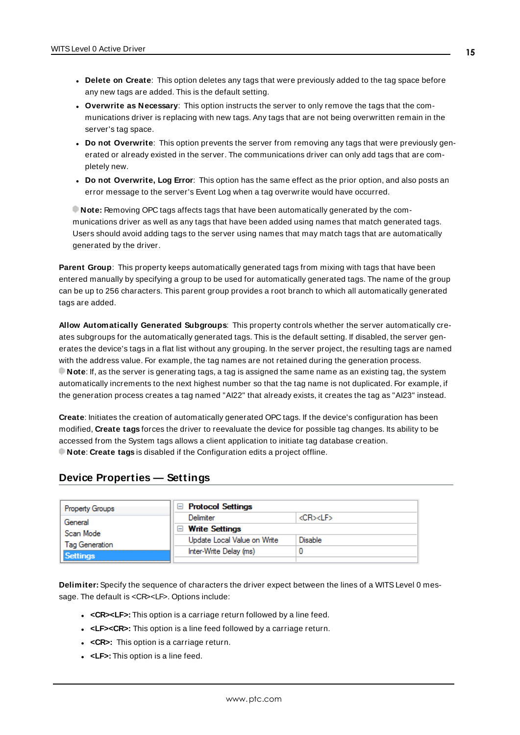- <span id="page-14-3"></span>**• Delete on Create**: This option deletes any tags that were previously added to the tag space before any new tags are added. This is the default setting.
- <span id="page-14-4"></span><sup>l</sup> **Overwrite as Necessary**: This option instructs the server to only remove the tags that the communications driver is replacing with new tags. Any tags that are not being overwritten remain in the server's tag space.
- **.** Do not Overwrite: This option prevents the server from removing any tags that were previously generated or already existed in the server. The communications driver can only add tags that are completely new.
- <sup>l</sup> **Do not Overwrite, Log Error**: This option has the same effect as the prior option, and also posts an error message to the server's Event Log when a tag overwrite would have occurred.

**Note:** Removing OPC tags affects tags that have been automatically generated by the communications driver as well as any tags that have been added using names that match generated tags. Users should avoid adding tags to the server using names that may match tags that are automatically generated by the driver.

<span id="page-14-5"></span>**Parent Group**: This property keeps automatically generated tags from mixing with tags that have been entered manually by specifying a group to be used for automatically generated tags. The name of the group can be up to 256 characters. This parent group provides a root branch to which all automatically generated tags are added.

<span id="page-14-1"></span>**Allow Automatically Generated Subgroups**: This property controls whether the server automatically creates subgroups for the automatically generated tags. This is the default setting. If disabled, the server generates the device's tags in a flat list without any grouping. In the server project, the resulting tags are named with the address value. For example, the tag names are not retained during the generation process. **Note**: If, as the server is generating tags, a tag is assigned the same name as an existing tag, the system automatically increments to the next highest number so that the tag name is not duplicated. For example, if the generation process creates a tag named "AI22" that already exists, it creates the tag as "AI23" instead.

<span id="page-14-2"></span>**Create**: Initiates the creation of automatically generated OPC tags. If the device's configuration has been modified, **Create tags** forces the driver to reevaluate the device for possible tag changes. Its ability to be accessed from the System tags allows a client application to initiate tag database creation. **Note**: **Create tags** is disabled if the Configuration edits a project offline.

### <span id="page-14-0"></span>**Device Properties — Settings**

| <b>Property Groups</b>            | <b>Protocol Settings</b>     |                    |
|-----------------------------------|------------------------------|--------------------|
| General                           | Delimiter                    | <cr><lf></lf></cr> |
| Scan Mode                         | <b>Write Settings</b><br>$-$ |                    |
| Tag Generation<br><b>Settings</b> | Update Local Value on Write  | Disable            |
|                                   | Inter-Write Delay (ms)       |                    |
|                                   |                              |                    |

**Delimiter:** Specify the sequence of characters the driver expect between the lines of a WITSLevel 0 message. The default is <CR><LF>. Options include:

- **cR><LF>:** This option is a carriage return followed by a line feed.
- **.** <LF><CR>: This option is a line feed followed by a carriage return.
- < CR>: This option is a carriage return.
- **.** <LF>: This option is a line feed.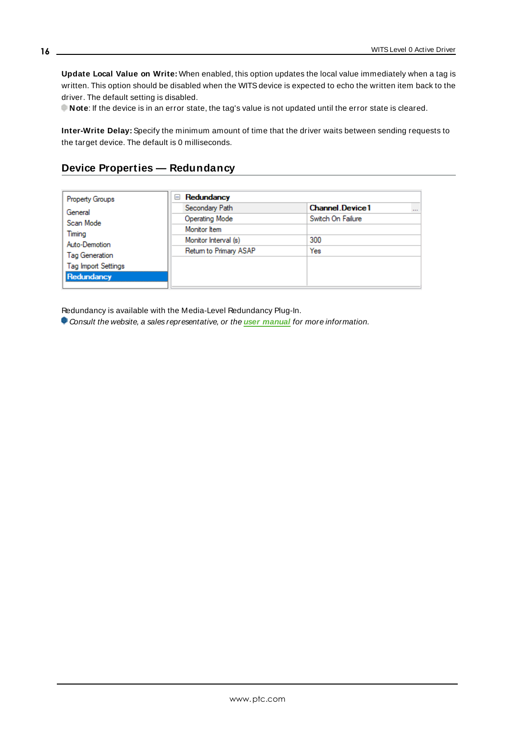**Update Local Value on Write:** When enabled, this option updates the local value immediately when a tag is written. This option should be disabled when the WITS device is expected to echo the written item back to the driver. The default setting is disabled.

**Note**: If the device is in an error state, the tag's value is not updated until the error state is cleared.

**Inter-Write Delay:** Specify the minimum amount of time that the driver waits between sending requests to the target device. The default is 0 milliseconds.

### <span id="page-15-0"></span>**Device Properties — Redundancy**

| <b>Property Groups</b>     | Redundancy<br>$=$      |                                    |  |
|----------------------------|------------------------|------------------------------------|--|
| General                    | Secondary Path         | <b>Channel Device1</b><br>$\cdots$ |  |
| Scan Mode                  | Operating Mode         | Switch On Failure                  |  |
| Timing                     | Monitor Item           |                                    |  |
| Auto-Demotion              | Monitor Interval (s)   | 300                                |  |
| Tag Generation             | Return to Primary ASAP | Yes                                |  |
|                            |                        |                                    |  |
| <b>Tag Import Settings</b> |                        |                                    |  |
| Redundancy                 |                        |                                    |  |

Redundancy is available with the Media-Level Redundancy Plug-In.

Consult the website, a sales representative, or the **user [manual](https://www.kepware.com/getattachment/35461efd-b53a-4219-a109-a89fad20b230/media-level-redundancy-manual.pdf)** for more information.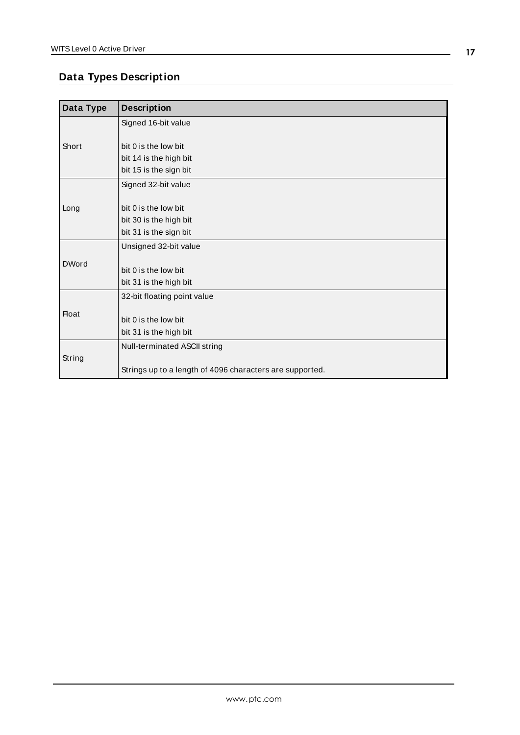# <span id="page-16-0"></span>**Data Types Description**

| Data Type    | <b>Description</b>                                       |  |
|--------------|----------------------------------------------------------|--|
|              | Signed 16-bit value                                      |  |
|              |                                                          |  |
| Short        | bit 0 is the low bit                                     |  |
|              | bit 14 is the high bit                                   |  |
|              | bit 15 is the sign bit                                   |  |
|              | Signed 32-bit value                                      |  |
| Long         |                                                          |  |
|              | bit 0 is the low bit                                     |  |
|              | bit 30 is the high bit                                   |  |
|              | bit 31 is the sign bit                                   |  |
|              | Unsigned 32-bit value                                    |  |
| <b>DWord</b> |                                                          |  |
|              | bit 0 is the low bit                                     |  |
|              | bit 31 is the high bit                                   |  |
| <b>Float</b> | 32-bit floating point value                              |  |
|              |                                                          |  |
|              | bit 0 is the low bit                                     |  |
|              | bit 31 is the high bit                                   |  |
|              | Null-terminated ASCII string                             |  |
| String       |                                                          |  |
|              | Strings up to a length of 4096 characters are supported. |  |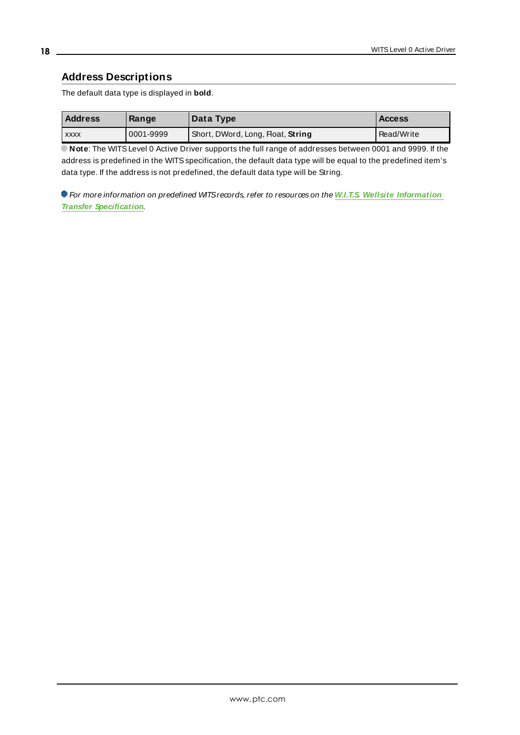### <span id="page-17-0"></span>**Address Descriptions**

The default data type is displayed in **bold**.

| <b>Address</b> | Range     | Data Type                         | <b>Access</b> |
|----------------|-----------|-----------------------------------|---------------|
| <b>XXXX</b>    | 0001-9999 | Short, DWord, Long, Float, String | Read/Write    |

**Note:** The WITS Level 0 Active Driver supports the full range of addresses between 0001 and 9999. If the address is predefined in the WITS specification, the default data type will be equal to the predefined item's data type. If the address is not predefined, the default data type will be String.

For more information on predefined WITSrecords, refer to resources on the **W.I.T.S. Wellsite [Information](https://info.erdosmiller.com/blog/wits-wellsite-information-transfer-specification-fundamentals) Transfer [Specification](https://info.erdosmiller.com/blog/wits-wellsite-information-transfer-specification-fundamentals)**.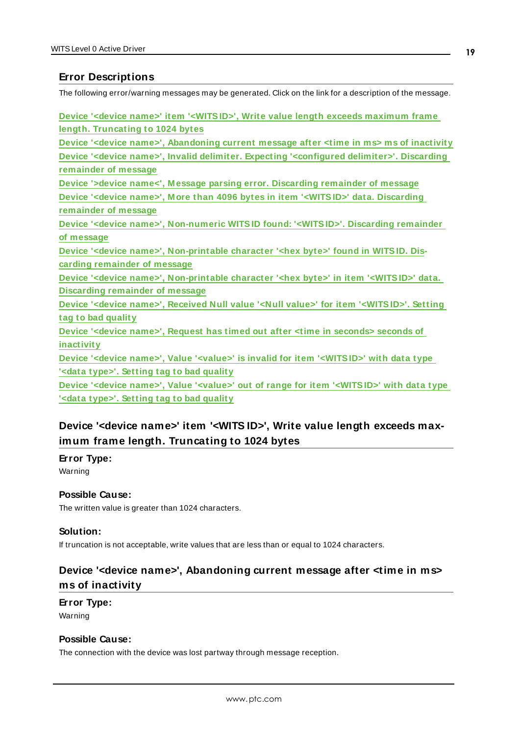### <span id="page-18-0"></span>**Error Descriptions**

The following error/warning messages may be generated. Click on the link for a description of the message.

| Device ' <device name="">' item '<witsid>', Write value length exceeds maximum frame</witsid></device>                  |
|-------------------------------------------------------------------------------------------------------------------------|
| length. Truncating to 1024 bytes                                                                                        |
| Device ' <device name="">', Abandoning current message after <time in="" ms=""> ms of inactivity</time></device>        |
| Device ' <device name="">', Invalid delimiter. Expecting '<configured delimiter="">'. Discarding</configured></device>  |
| remainder of message                                                                                                    |
| Device '>device name<', Message parsing error. Discarding remainder of message                                          |
| Device ' <device name="">', More than 4096 bytes in item '<witsid>' data. Discarding</witsid></device>                  |
| remainder of message                                                                                                    |
| Device ' <device name="">', Non-numeric WITSID found: '<witsid>'. Discarding remainder</witsid></device>                |
| of message                                                                                                              |
| Device ' <device name="">', Non-printable character '<hex byte="">' found in WITSID. Dis-</hex></device>                |
| carding remainder of message                                                                                            |
| Device ' <device name="">', Non-printable character '<hex byte="">' in item '<witsid>' data.</witsid></hex></device>    |
| <b>Discarding remainder of message</b>                                                                                  |
| Device ' <device name="">', Received Null value '<null value="">' for item '<witsid>'. Setting</witsid></null></device> |
| tag to bad quality                                                                                                      |
| Device ' <device name="">', Request has timed out after <time in="" seconds=""> seconds of</time></device>              |
| inactivity                                                                                                              |
| Device ' <device name="">', Value '<value>' is invalid for item '<witsid>' with data type</witsid></value></device>     |
| ' <data type="">'. Setting tag to bad quality</data>                                                                    |
| Device ' <device name="">', Value '<value>' out of range for item '<witsid>' with data type</witsid></value></device>   |
| ' <data type="">'. Setting tag to bad quality</data>                                                                    |

# <span id="page-18-1"></span>**Device '<device name>' item '<WITS ID>', Write value length exceeds maximum frame length. Truncating to 1024 bytes**

**Error Type:**

Warning

### **Possible Cause:**

The written value is greater than 1024 characters.

### **Solution:**

<span id="page-18-2"></span>If truncation is not acceptable, write values that are less than or equal to 1024 characters.

# **Device '<device name>', Abandoning current message after <time in ms> ms of inactivity**

**Error Type:** Warning

### **Possible Cause:**

The connection with the device was lost partway through message reception.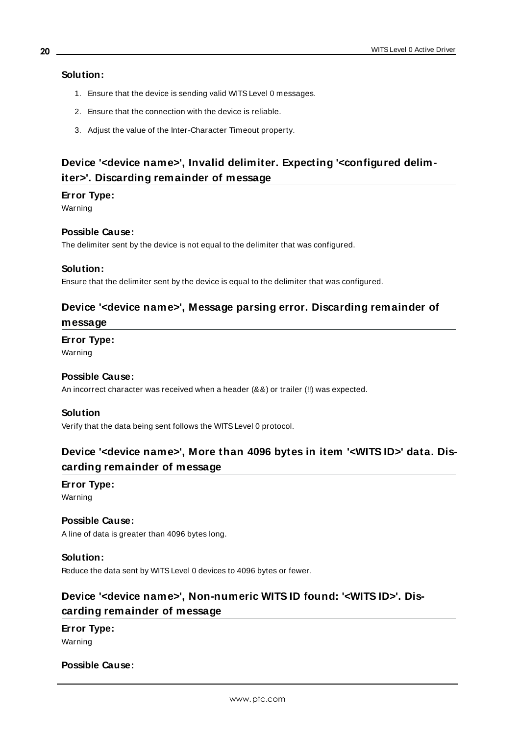### **Solution:**

- 1. Ensure that the device is sending valid WITSLevel 0 messages.
- 2. Ensure that the connection with the device is reliable.
- 3. Adjust the value of the Inter-Character Timeout property.

# <span id="page-19-0"></span>**Device '<device name>', Invalid delimiter. Expecting '<configured delimiter>'. Discarding remainder of message**

### **Error Type:**

Warning

### **Possible Cause:**

The delimiter sent by the device is not equal to the delimiter that was configured.

### **Solution:**

<span id="page-19-1"></span>Ensure that the delimiter sent by the device is equal to the delimiter that was configured.

### **Device '<device name>', Message parsing error. Discarding remainder of message**

### **Error Type:**

Warning

### **Possible Cause:**

An incorrect character was received when a header (&&) or trailer (!!) was expected.

### **Solution**

<span id="page-19-2"></span>Verify that the data being sent follows the WITSLevel 0 protocol.

# **Device '<device name>', More than 4096 bytes in item '<WITS ID>' data. Discarding remainder of message**

# **Error Type:**

Warning

### **Possible Cause:**

A line of data is greater than 4096 bytes long.

### **Solution:**

<span id="page-19-3"></span>Reduce the data sent by WITSLevel 0 devices to 4096 bytes or fewer.

# **Device '<device name>', Non-numeric WITS ID found: '<WITS ID>'. Discarding remainder of message**

### **Error Type:** Warning

### **Possible Cause:**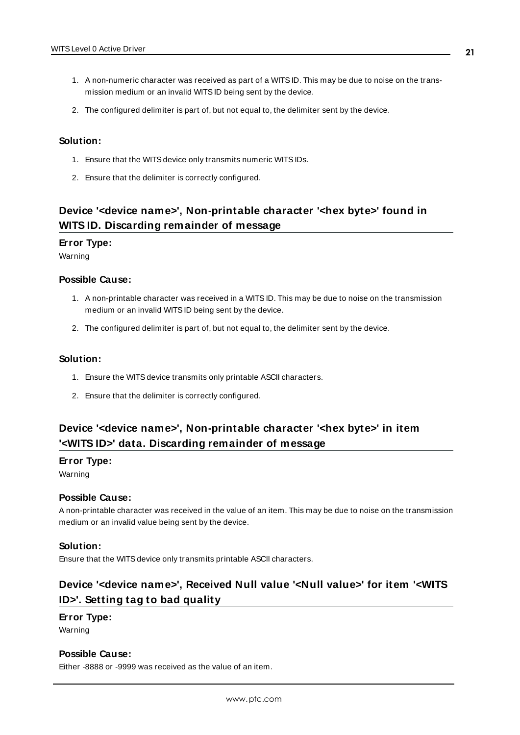- 1. A non-numeric character was received as part of a WITSID. This may be due to noise on the transmission medium or an invalid WITSID being sent by the device.
- 2. The configured delimiter is part of, but not equal to, the delimiter sent by the device.

#### **Solution:**

- 1. Ensure that the WITSdevice only transmits numeric WITSIDs.
- 2. Ensure that the delimiter is correctly configured.

# <span id="page-20-0"></span>**Device '<device name>', Non-printable character '<hex byte>' found in WITS ID. Discarding remainder of message**

### **Error Type:**

Warning

#### **Possible Cause:**

- 1. A non-printable character was received in a WITSID. This may be due to noise on the transmission medium or an invalid WITSID being sent by the device.
- 2. The configured delimiter is part of, but not equal to, the delimiter sent by the device.

### **Solution:**

- 1. Ensure the WITS device transmits only printable ASCII characters.
- 2. Ensure that the delimiter is correctly configured.

# <span id="page-20-1"></span>**Device '<device name>', Non-printable character '<hex byte>' in item '<WITS ID>' data. Discarding remainder of message**

#### **Error Type:**

Warning

#### **Possible Cause:**

A non-printable character was received in the value of an item. This may be due to noise on the transmission medium or an invalid value being sent by the device.

#### **Solution:**

<span id="page-20-2"></span>Ensure that the WITS device only transmits printable ASCII characters.

# **Device '<device name>', Received Null value '<Null value>' for item '<WITS ID>'. Setting tag to bad quality**

### **Error Type:**

Warning

### **Possible Cause:**

Either -8888 or -9999 was received as the value of an item.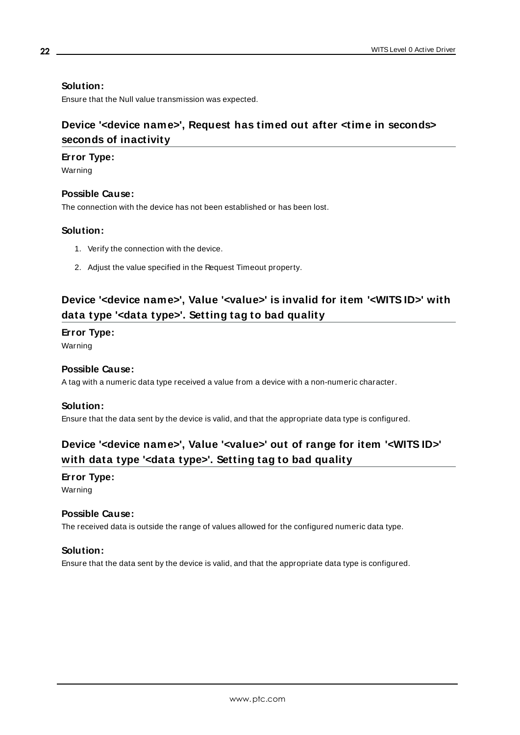### **Solution:**

<span id="page-21-0"></span>Ensure that the Null value transmission was expected.

# **Device '<device name>', Request has timed out after <time in seconds> seconds of inactivity**

### **Error Type:**

Warning

### **Possible Cause:**

The connection with the device has not been established or has been lost.

### **Solution:**

- 1. Verify the connection with the device.
- 2. Adjust the value specified in the Request Timeout property.

# <span id="page-21-1"></span>**Device '<device name>', Value '<value>' is invalid for item '<WITS ID>' with data type '<data type>'. Setting tag to bad quality**

### **Error Type:**

Warning

### **Possible Cause:**

A tag with a numeric data type received a value from a device with a non-numeric character.

### **Solution:**

<span id="page-21-2"></span>Ensure that the data sent by the device is valid, and that the appropriate data type is configured.

# **Device '<device name>', Value '<value>' out of range for item '<WITS ID>' with data type '<data type>'. Setting tag to bad quality**

### **Error Type:**

Warning

### **Possible Cause:**

The received data is outside the range of values allowed for the configured numeric data type.

### **Solution:**

Ensure that the data sent by the device is valid, and that the appropriate data type is configured.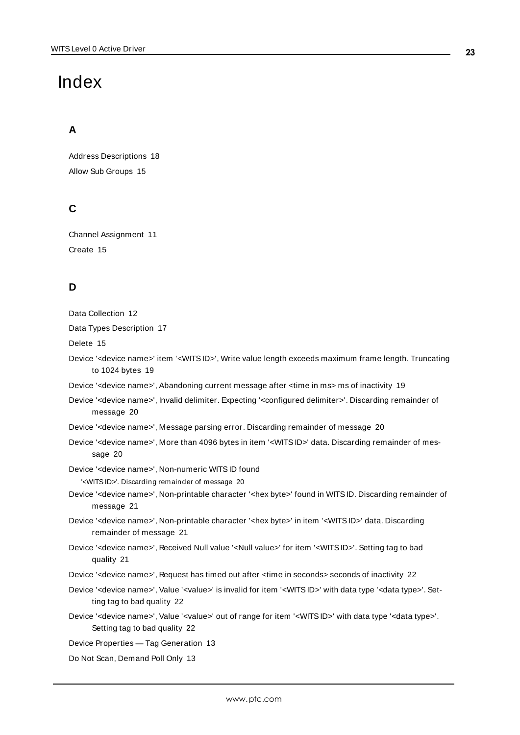# <span id="page-22-0"></span>Index

# **A**

Address Descriptions [18](#page-17-0) Allow Sub Groups [15](#page-14-1)

# **C**

Channel Assignment [11](#page-10-2) Create [15](#page-14-2)

# **D**

Data Collection [12](#page-11-1)

Data Types Description [17](#page-16-0)

Delete [15](#page-14-3)

Device '<device name>' item '<WITSID>', Write value length exceeds maximum frame length. Truncating to 1024 bytes [19](#page-18-1)

Device '<device name>', Abandoning current message after <time in ms> ms of inactivity [19](#page-18-2)

Device '<device name>', Invalid delimiter. Expecting '<configured delimiter>'. Discarding remainder of message [20](#page-19-0)

Device '<device name>', Message parsing error. Discarding remainder of message [20](#page-19-1)

Device '<device name>', More than 4096 bytes in item '<WITSID>' data. Discarding remainder of message [20](#page-19-2)

Device '<device name>', Non-numeric WITSID found

'<WITS ID>'. Discarding remainder of message [20](#page-19-3)

Device '<device name>', Non-printable character '<hex byte>' found in WITSID. Discarding remainder of message [21](#page-20-0)

- Device '<device name>', Non-printable character '<hex byte>' in item '<WITSID>' data. Discarding remainder of message [21](#page-20-1)
- Device '<device name>', Received Null value '<Null value>' for item '<WITS ID>'. Setting tag to bad quality [21](#page-20-2)

Device '<device name>', Request has timed out after <time in seconds> seconds of inactivity [22](#page-21-0)

- Device '<device name>', Value '<value>' is invalid for item '<WITS ID>' with data type '<data type>'. Setting tag to bad quality [22](#page-21-1)
- Device '<device name>', Value '<value>' out of range for item '<WITSID>' with data type '<data type>'. Setting tag to bad quality [22](#page-21-2)

Device Properties — Tag Generation [13](#page-12-1)

Do Not Scan, Demand Poll Only [13](#page-12-2)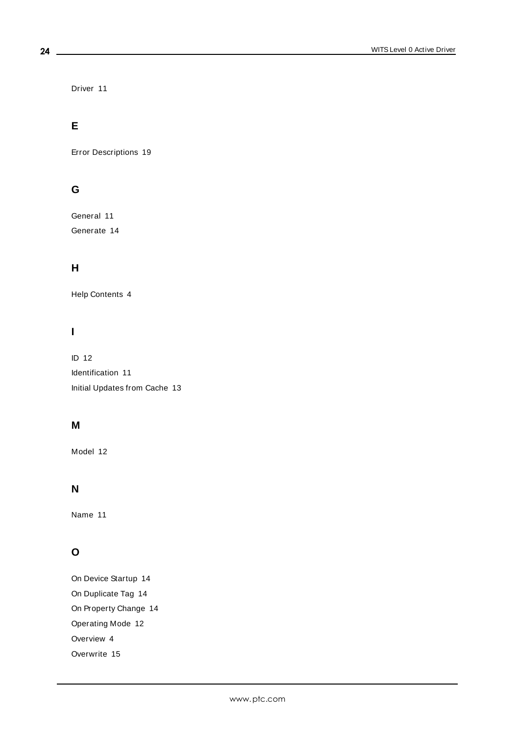Driver [11](#page-10-3)

# **E**

Error Descriptions [19](#page-18-0)

# **G**

General [11](#page-10-1) Generate [14](#page-13-0)

# **H**

Help Contents [4](#page-3-0)

# **I**

ID [12](#page-11-2) Identification [11](#page-10-1) Initial Updates from Cache [13](#page-12-3)

### **M**

Model [12](#page-11-3)

## **N**

Name [11](#page-10-4)

# **O**

On Device Startup [14](#page-13-1) On Duplicate Tag [14](#page-13-2) On Property Change [14](#page-13-3) Operating Mode [12](#page-11-0) Overview [4](#page-3-1) Overwrite [15](#page-14-4)